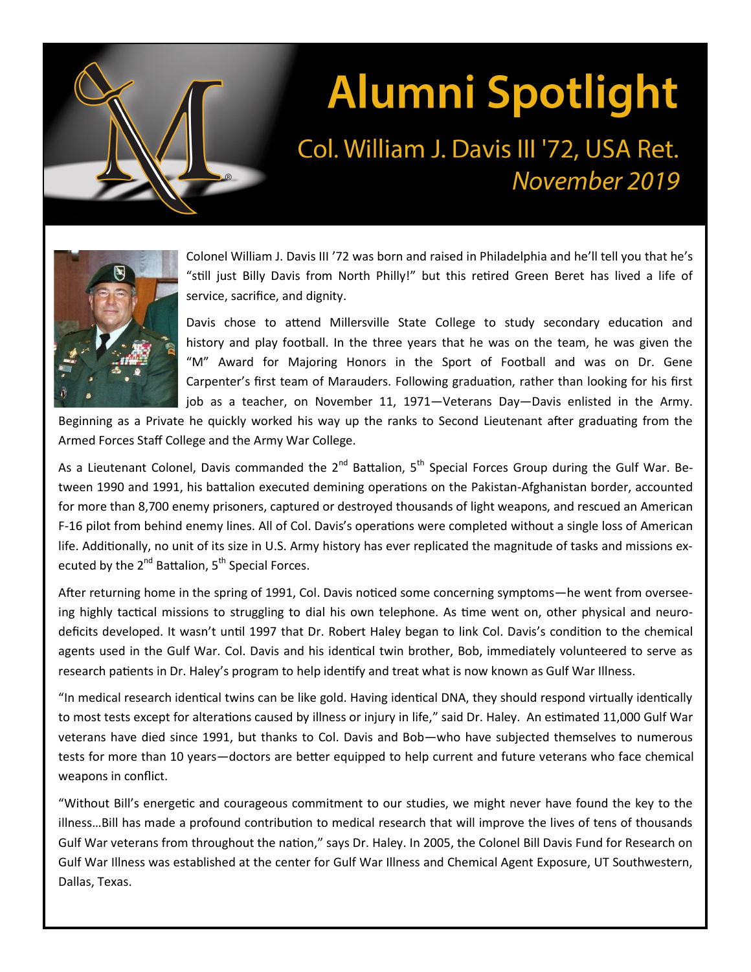

## **Alumni Spotlight**

## Col. William J. Davis III '72, USA Ret. November 2019



Colonel William J. Davis III '72 was born and raised in Philadelphia and he'll tell you that he's "still just Billy Davis from North Philly!" but this retired Green Beret has lived a life of service, sacrifice, and dignity.

Davis chose to attend Millersville State College to study secondary education and history and play football. In the three years that he was on the team, he was given the "M" Award for Majoring Honors in the Sport of Football and was on Dr. Gene Carpenter's first team of Marauders. Following graduation, rather than looking for his first job as a teacher, on November 11, 1971—Veterans Day—Davis enlisted in the Army.

Beginning as a Private he quickly worked his way up the ranks to Second Lieutenant after graduating from the Armed Forces Staff College and the Army War College.

As a Lieutenant Colonel, Davis commanded the 2<sup>nd</sup> Battalion, 5<sup>th</sup> Special Forces Group during the Gulf War. Between 1990 and 1991, his battalion executed demining operations on the Pakistan-Afghanistan border, accounted for more than 8,700 enemy prisoners, captured or destroyed thousands of light weapons, and rescued an American F-16 pilot from behind enemy lines. All of Col. Davis's operations were completed without a single loss of American life. Additionally, no unit of its size in U.S. Army history has ever replicated the magnitude of tasks and missions executed by the 2<sup>nd</sup> Battalion, 5<sup>th</sup> Special Forces.

After returning home in the spring of 1991, Col. Davis noticed some concerning symptoms—he went from overseeing highly tactical missions to struggling to dial his own telephone. As time went on, other physical and neurodeficits developed. It wasn't until 1997 that Dr. Robert Haley began to link Col. Davis's condition to the chemical agents used in the Gulf War. Col. Davis and his identical twin brother, Bob, immediately volunteered to serve as research patients in Dr. Haley's program to help identify and treat what is now known as Gulf War Illness.

"In medical research identical twins can be like gold. Having identical DNA, they should respond virtually identically to most tests except for alterations caused by illness or injury in life," said Dr. Haley. An estimated 11,000 Gulf War veterans have died since 1991, but thanks to Col. Davis and Bob—who have subjected themselves to numerous tests for more than 10 years—doctors are better equipped to help current and future veterans who face chemical weapons in conflict.

"Without Bill's energetic and courageous commitment to our studies, we might never have found the key to the illness…Bill has made a profound contribution to medical research that will improve the lives of tens of thousands Gulf War veterans from throughout the nation," says Dr. Haley. In 2005, the Colonel Bill Davis Fund for Research on Gulf War Illness was established at the center for Gulf War Illness and Chemical Agent Exposure, UT Southwestern, Dallas, Texas.